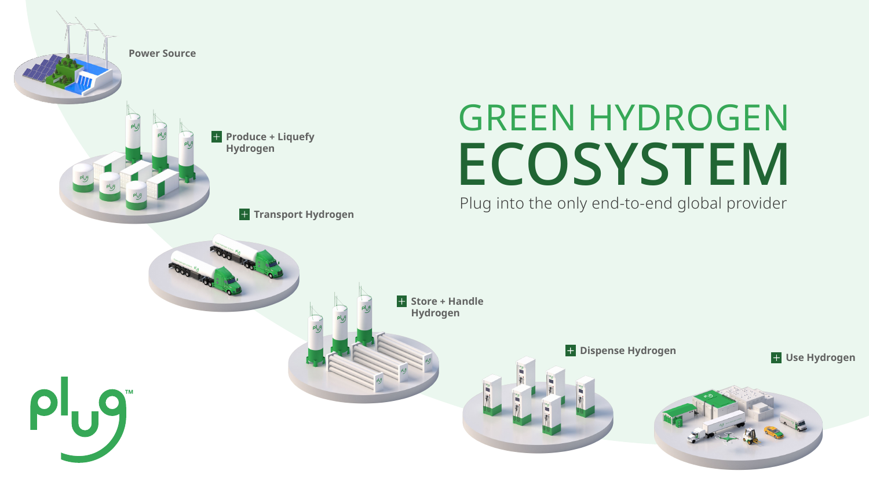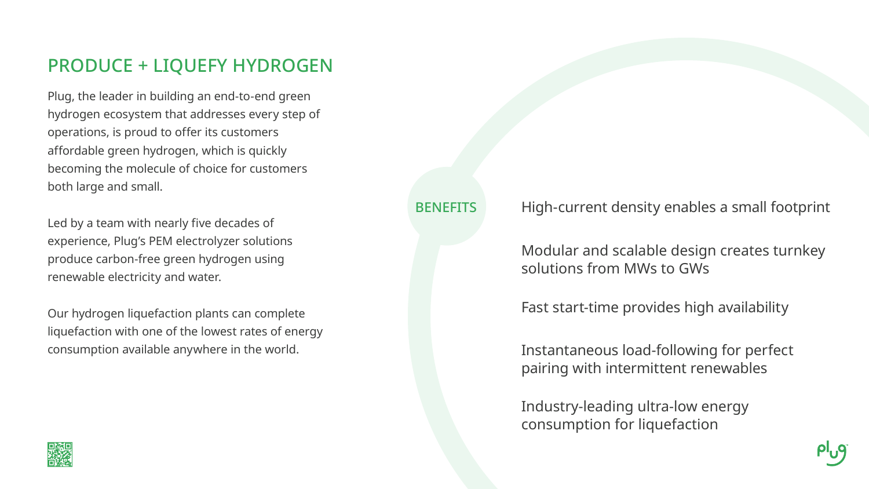## PRODUCE + LIQUEFY HYDROGEN

Plug, the leader in building an end-to-end green hydrogen ecosystem that addresses every step of operations, is proud to offer its customers affordable green hydrogen, which is quickly becoming the molecule of choice for customers both large and small.

Led by a team with nearly five decades of experience, Plug's PEM electrolyzer solutions produce carbon-free green hydrogen using renewable electricity and water.

Our hydrogen liquefaction plants can complete liquefaction with one of the lowest rates of energy consumption available anywhere in the world.



**BENEFITS** 

High-current density enables a small footprint

Fast start-time provides high availability

Modular and scalable design creates turnkey solutions from MWs to GWs

Instantaneous load-following for perfect pairing with intermittent renewables

Industry-leading ultra-low energy consumption for liquefaction



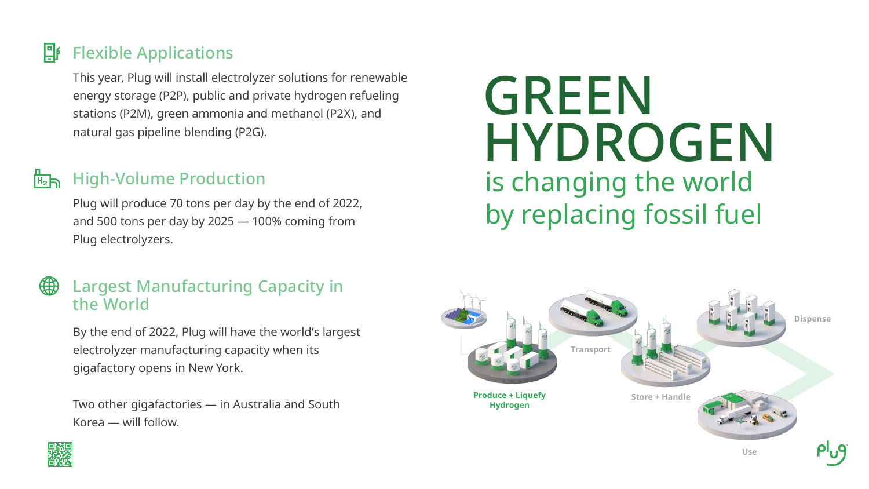

### 밥 Flexible Applications

This year, Plug will install electrolyzer solutions for renewable energy storage (P2P), public and private hydrogen refueling stations (P2M), green ammonia and methanol (P2X), and natural gas pipeline blending (P2G).

### High-Volume Production  $H_2$ h

### (#) Largest Manufacturing Capacity in the World

Plug will produce 70 tons per day by the end of 2022, and 500 tons per day by 2025 — 100% coming from Plug electrolyzers.



By the end of 2022, Plug will have the world's largest electrolyzer manufacturing capacity when its gigafactory opens in New York.

Two other gigafactories — in Australia and South Korea — will follow.



## is changing the world by replacing fossil fuel GREEN HYDROGEN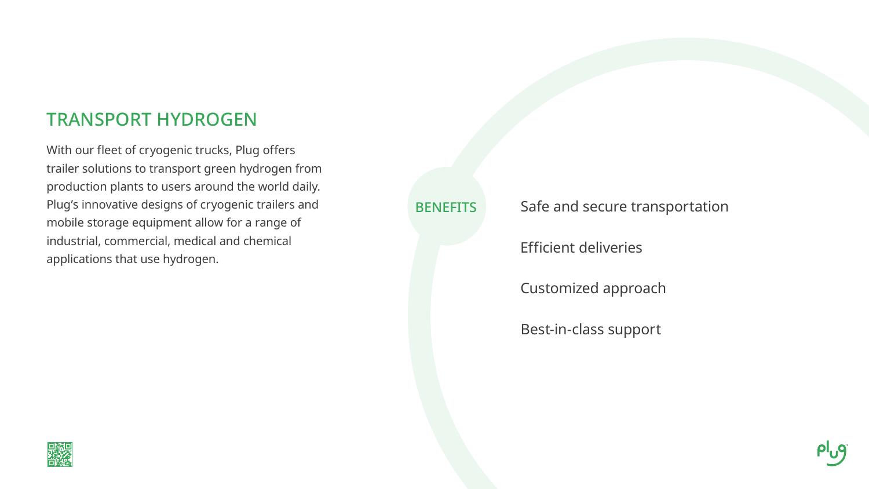## TRANSPORT HYDROGEN

With our fleet of cryogenic trucks, Plug offers trailer solutions to transport green hydrogen from production plants to users around the world daily. Plug's innovative designs of cryogenic trailers and mobile storage equipment allow for a range of industrial, commercial, medical and chemical applications that use hydrogen.



**BENEFITS** 

Efficient deliveries

Safe and secure transportation

Customized approach

Best-in-class support

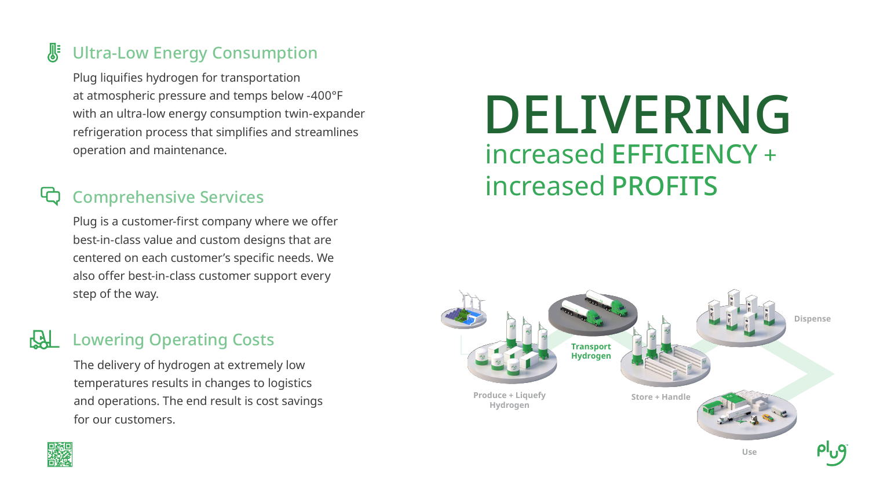Plug liquifies hydrogen for transportation at atmospheric pressure and temps below -400°F with an ultra-low energy consumption twin-expander refrigeration process that simplifies and streamlines operation and maintenance.

### **SE** Ultra-Low Energy Consumption

Plug is a customer-first company where we offer best-in-class value and custom designs that are centered on each customer's specific needs. We also offer best-in-class customer support every step of the way.

## Comprehensive Services

The delivery of hydrogen at extremely low temperatures results in changes to logistics and operations. The end result is cost savings for our customers.



### Lowering Operating Costs

## increased EFFICIENCY + increased PROFITS DELIVERING



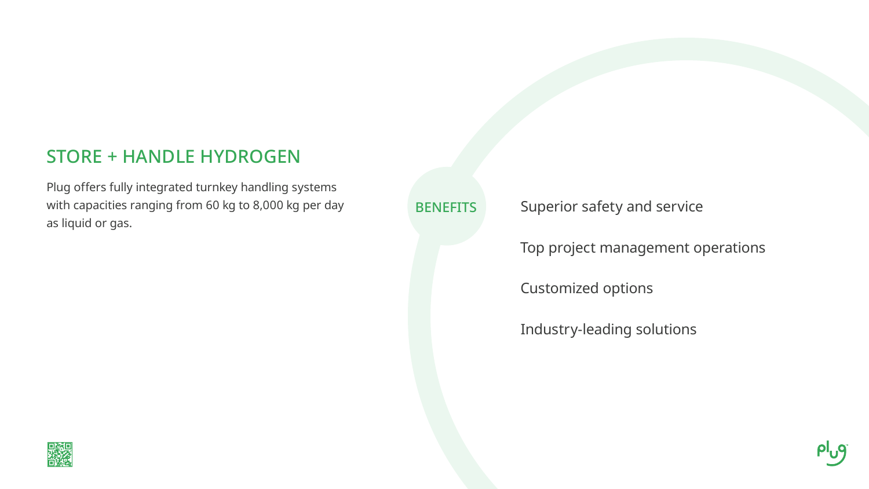### STORE + HANDLE HYDROGEN

Plug offers fully integrated turnkey handling systems with capacities ranging from 60 kg to 8,000 kg per day as liquid or gas.



**BENEFITS** 

Top project management operations

Superior safety and service

Customized options

Industry-leading solutions

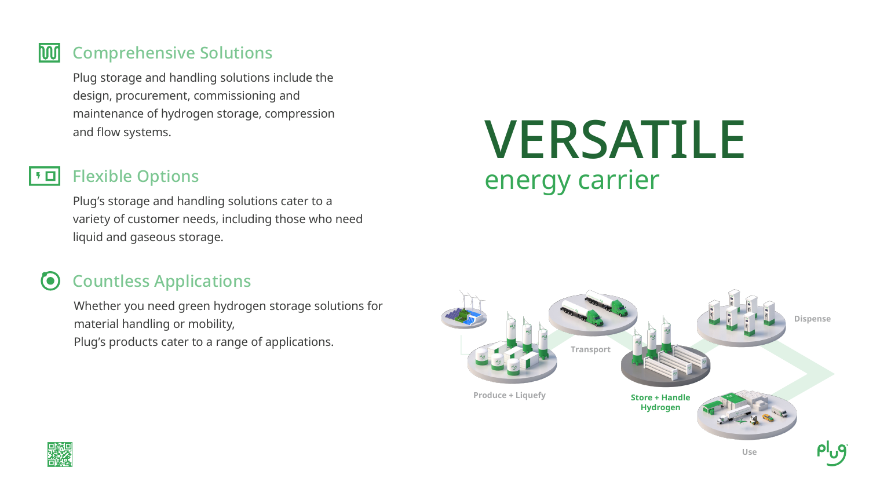Plug storage and handling solutions include the design, procurement, commissioning and maintenance of hydrogen storage, compression and flow systems.

### **DOO** Comprehensive Solutions

#### Flexible Options ▏▚▐▊

### Countless Applications  $\bullet$

Plug's storage and handling solutions cater to a variety of customer needs, including those who need liquid and gaseous storage.

Whether you need green hydrogen storage solutions for material handling or mobility, Plug's products cater to a range of applications.



## VERSATILE energy carrier



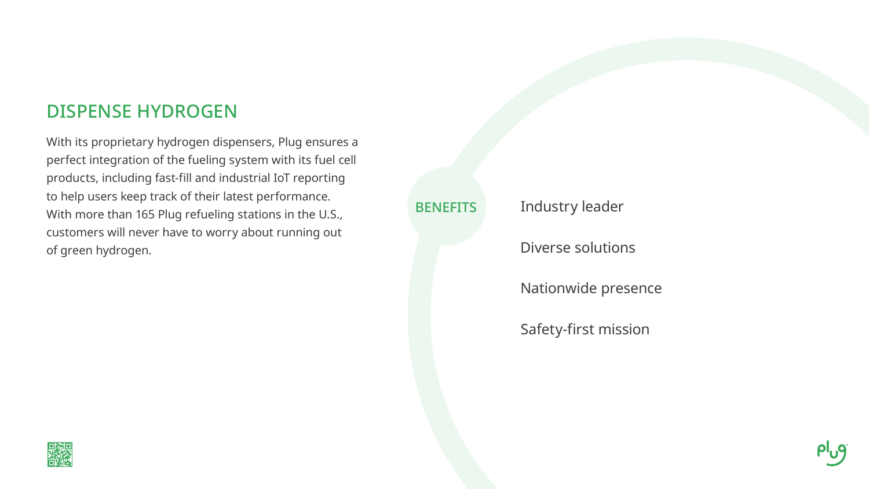## DISPENSE HYDROGEN

With its proprietary hydrogen dispensers, Plug ensures a perfect integration of the fueling system with its fuel cell products, including fast-fill and industrial IoT reporting to help users keep track of their latest performance. With more than 165 Plug refueling stations in the U.S., customers will never have to worry about running out of green hydrogen. Diverse solutions



### **BENEFITS**

Industry leader

Nationwide presence

Safety-first mission

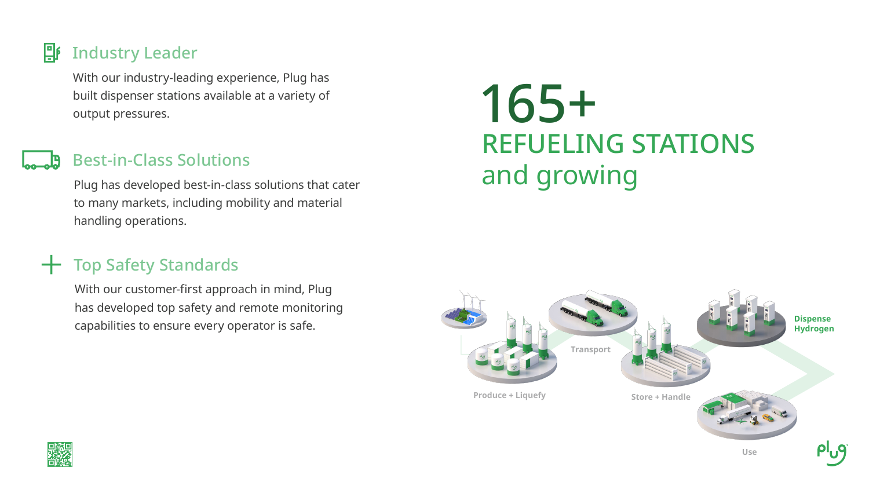With our industry-leading experience, Plug has<br>built dispenser stations available at a variety of<br>output pressures. built dispenser stations available at a variety of output pressures.

### 卧 Industry Leader

Plug has developed best-in-class solutions that cater to many markets, including mobility and material handling operations.

# REFUELING STATIONS and growing

### Best-in-Class Solutions

With our customer-first approach in mind, Plug has developed top safety and remote monitoring capabilities to ensure every operator is safe.



## Top Safety Standards

**Use**



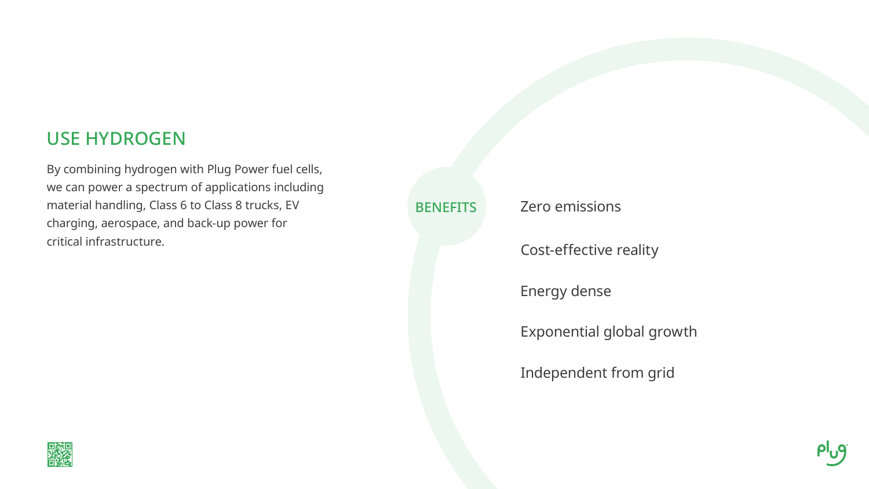## USE HYDROGEN

By combining hydrogen with Plug Power fuel cells, we can power a spectrum of applications including material handling, Class 6 to Class 8 trucks, EV charging, aerospace, and back-up power for critical infrastructure.



### **BENEFITS**

Zero emissions

Energy dense

Cost-effective reality

Exponential global growth

Independent from grid